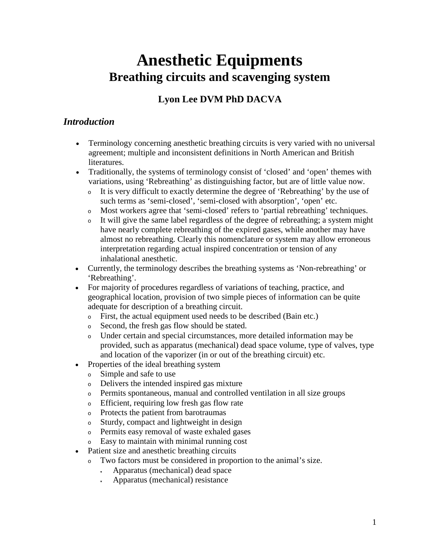# **Anesthetic Equipments Breathing circuits and scavenging system**

# **Lyon Lee DVM PhD DACVA**

# *Introduction*

- Terminology concerning anesthetic breathing circuits is very varied with no universal agreement; multiple and inconsistent definitions in North American and British literatures.
- Traditionally, the systems of terminology consist of 'closed' and 'open' themes with variations, using 'Rebreathing' as distinguishing factor, but are of little value now.
	- <sup>o</sup> It is very difficult to exactly determine the degree of 'Rebreathing' by the use of such terms as 'semi-closed', 'semi-closed with absorption', 'open' etc.
	- <sup>o</sup> Most workers agree that 'semi-closed' refers to 'partial rebreathing' techniques.
	- <sup>o</sup> It will give the same label regardless of the degree of rebreathing; a system might have nearly complete rebreathing of the expired gases, while another may have almost no rebreathing. Clearly this nomenclature or system may allow erroneous interpretation regarding actual inspired concentration or tension of any inhalational anesthetic.
- Currently, the terminology describes the breathing systems as 'Non-rebreathing' or 'Rebreathing'.
- For majority of procedures regardless of variations of teaching, practice, and geographical location, provision of two simple pieces of information can be quite adequate for description of a breathing circuit.
	- <sup>o</sup> First, the actual equipment used needs to be described (Bain etc.)
	- <sup>o</sup> Second, the fresh gas flow should be stated.
	- <sup>o</sup> Under certain and special circumstances, more detailed information may be provided, such as apparatus (mechanical) dead space volume, type of valves, type and location of the vaporizer (in or out of the breathing circuit) etc.
- Properties of the ideal breathing system
	- <sup>o</sup> Simple and safe to use
	- <sup>o</sup> Delivers the intended inspired gas mixture
	- <sup>o</sup> Permits spontaneous, manual and controlled ventilation in all size groups
	- <sup>o</sup> Efficient, requiring low fresh gas flow rate
	- <sup>o</sup> Protects the patient from barotraumas
	- <sup>o</sup> Sturdy, compact and lightweight in design
	- <sup>o</sup> Permits easy removal of waste exhaled gases
	- <sup>o</sup> Easy to maintain with minimal running cost
- Patient size and anesthetic breathing circuits
	- <sup>o</sup> Two factors must be considered in proportion to the animal's size.
		- Apparatus (mechanical) dead space
		- Apparatus (mechanical) resistance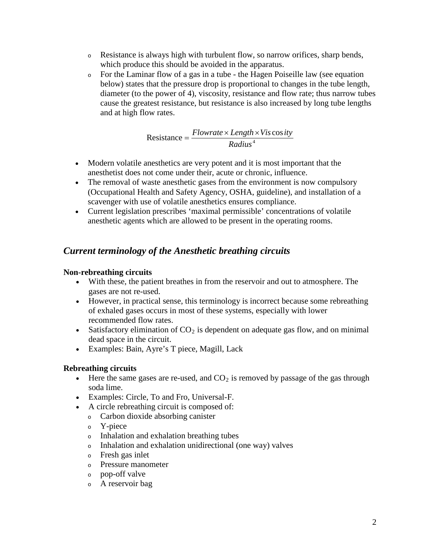- <sup>o</sup> Resistance is always high with turbulent flow, so narrow orifices, sharp bends, which produce this should be avoided in the apparatus.
- <sup>o</sup> For the Laminar flow of a gas in a tube the Hagen Poiseille law (see equation below) states that the pressure drop is proportional to changes in the tube length, diameter (to the power of 4), viscosity, resistance and flow rate; thus narrow tubes cause the greatest resistance, but resistance is also increased by long tube lengths and at high flow rates.

$$
Resistance = \frac{Flowrate \times Length \times Vis\cos ity}{Radius^4}
$$

- Modern volatile anesthetics are very potent and it is most important that the anesthetist does not come under their, acute or chronic, influence.
- The removal of waste anesthetic gases from the environment is now compulsory (Occupational Health and Safety Agency, OSHA, guideline), and installation of a scavenger with use of volatile anesthetics ensures compliance.
- Current legislation prescribes 'maximal permissible' concentrations of volatile anesthetic agents which are allowed to be present in the operating rooms.

# *Current terminology of the Anesthetic breathing circuits*

### **Non-rebreathing circuits**

- With these, the patient breathes in from the reservoir and out to atmosphere. The gases are not re-used.
- However, in practical sense, this terminology is incorrect because some rebreathing of exhaled gases occurs in most of these systems, especially with lower recommended flow rates.
- Satisfactory elimination of  $CO<sub>2</sub>$  is dependent on adequate gas flow, and on minimal dead space in the circuit.
- Examples: Bain, Ayre's T piece, Magill, Lack

### **Rebreathing circuits**

- Here the same gases are re-used, and  $CO<sub>2</sub>$  is removed by passage of the gas through soda lime.
- Examples: Circle, To and Fro, Universal-F.
- A circle rebreathing circuit is composed of:
	- <sup>o</sup> Carbon dioxide absorbing canister
	- <sup>o</sup> Y-piece
	- <sup>o</sup> Inhalation and exhalation breathing tubes
	- <sup>o</sup> Inhalation and exhalation unidirectional (one way) valves
	- <sup>o</sup> Fresh gas inlet
	- <sup>o</sup> Pressure manometer
	- <sup>o</sup> pop-off valve
	- <sup>o</sup> A reservoir bag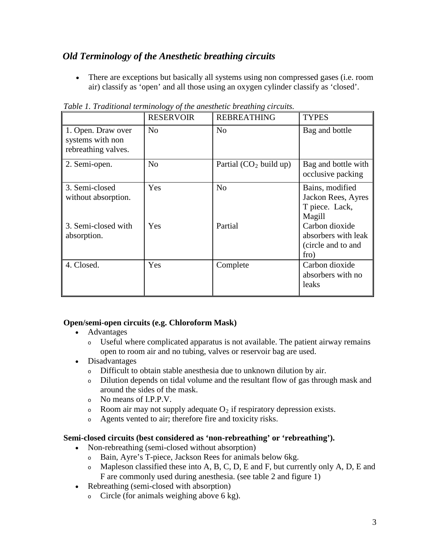# *Old Terminology of the Anesthetic breathing circuits*

• There are exceptions but basically all systems using non compressed gases (i.e. room air) classify as 'open' and all those using an oxygen cylinder classify as 'closed'.

|                                                                             | <b>RESERVOIR</b> | <b>REBREATHING</b>        | <b>TYPES</b>                                                                                                                             |
|-----------------------------------------------------------------------------|------------------|---------------------------|------------------------------------------------------------------------------------------------------------------------------------------|
| 1. Open. Draw over<br>systems with non<br>rebreathing valves.               | N <sub>0</sub>   | N <sub>0</sub>            | Bag and bottle                                                                                                                           |
| 2. Semi-open.                                                               | N <sub>0</sub>   | Partial $(CO2$ build up)  | Bag and bottle with<br>occlusive packing                                                                                                 |
| 3. Semi-closed<br>without absorption.<br>3. Semi-closed with<br>absorption. | Yes<br>Yes       | N <sub>o</sub><br>Partial | Bains, modified<br>Jackon Rees, Ayres<br>T piece. Lack,<br>Magill<br>Carbon dioxide<br>absorbers with leak<br>(circle and to and<br>fro) |
| 4. Closed.                                                                  | Yes              | Complete                  | Carbon dioxide<br>absorbers with no<br>leaks                                                                                             |

*Table 1. Traditional terminology of the anesthetic breathing circuits.*

#### **Open/semi-open circuits (e.g. Chloroform Mask)**

- Advantages
	- <sup>o</sup> Useful where complicated apparatus is not available. The patient airway remains open to room air and no tubing, valves or reservoir bag are used.
- Disadvantages
	- <sup>o</sup> Difficult to obtain stable anesthesia due to unknown dilution by air.
	- <sup>o</sup> Dilution depends on tidal volume and the resultant flow of gas through mask and around the sides of the mask.
	- <sup>o</sup> No means of I.P.P.V.
	- $\circ$  Room air may not supply adequate O<sub>2</sub> if respiratory depression exists.
	- <sup>o</sup> Agents vented to air; therefore fire and toxicity risks.

#### **Semi-closed circuits (best considered as 'non-rebreathing' or 'rebreathing').**

- Non-rebreathing (semi-closed without absorption)
	- <sup>o</sup> Bain, Ayre's T-piece, Jackson Rees for animals below 6kg.
	- $\circ$  Mapleson classified these into A, B, C, D, E and F, but currently only A, D, E and F are commonly used during anesthesia. (see table 2 and figure 1)
- Rebreathing (semi-closed with absorption)
	- $\circ$  Circle (for animals weighing above 6 kg).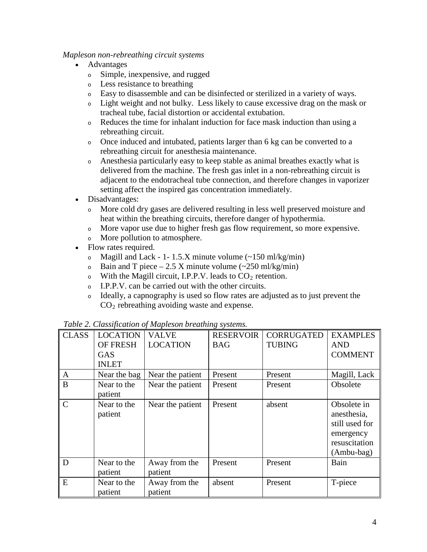#### *Mapleson non-rebreathing circuit systems*

- Advantages
	- <sup>o</sup> Simple, inexpensive, and rugged
	- <sup>o</sup> Less resistance to breathing
	- <sup>o</sup> Easy to disassemble and can be disinfected or sterilized in a variety of ways.
	- <sup>o</sup> Light weight and not bulky. Less likely to cause excessive drag on the mask or tracheal tube, facial distortion or accidental extubation.
	- <sup>o</sup> Reduces the time for inhalant induction for face mask induction than using a rebreathing circuit.
	- <sup>o</sup> Once induced and intubated, patients larger than 6 kg can be converted to a rebreathing circuit for anesthesia maintenance.
	- <sup>o</sup> Anesthesia particularly easy to keep stable as animal breathes exactly what is delivered from the machine. The fresh gas inlet in a non-rebreathing circuit is adjacent to the endotracheal tube connection, and therefore changes in vaporizer setting affect the inspired gas concentration immediately.
- Disadvantages:
	- <sup>o</sup> More cold dry gases are delivered resulting in less well preserved moisture and heat within the breathing circuits, therefore danger of hypothermia.
	- <sup>o</sup> More vapor use due to higher fresh gas flow requirement, so more expensive.
	- <sup>o</sup> More pollution to atmosphere.
- Flow rates required.
	- $\delta$  Magill and Lack 1- 1.5.X minute volume (~150 ml/kg/min)
	- $\circ$  Bain and T piece 2.5 X minute volume (~250 ml/kg/min)
	- $\circ$  With the Magill circuit, I.P.P.V. leads to  $CO_2$  retention.
	- <sup>o</sup> I.P.P.V. can be carried out with the other circuits.
	- <sup>o</sup> Ideally, a capnography is used so flow rates are adjusted as to just prevent the  $CO<sub>2</sub>$  rebreathing avoiding waste and expense.

| <b>CLASS</b>  | <b>LOCATION</b>        | <b>VALVE</b>             | <b>RESERVOIR</b> | <b>CORRUGATED</b> | <b>EXAMPLES</b>                                                                            |
|---------------|------------------------|--------------------------|------------------|-------------------|--------------------------------------------------------------------------------------------|
|               | <b>OF FRESH</b>        | <b>LOCATION</b>          | <b>BAG</b>       | <b>TUBING</b>     | <b>AND</b>                                                                                 |
|               | <b>GAS</b>             |                          |                  |                   | <b>COMMENT</b>                                                                             |
|               | <b>INLET</b>           |                          |                  |                   |                                                                                            |
| A             | Near the bag           | Near the patient         | Present          | Present           | Magill, Lack                                                                               |
| B             | Near to the<br>patient | Near the patient         | Present          | Present           | Obsolete                                                                                   |
| $\mathcal{C}$ | Near to the<br>patient | Near the patient         | Present          | absent            | Obsolete in<br>anesthesia,<br>still used for<br>emergency<br>resuscitation<br>$(Ambu-bag)$ |
| D             | Near to the<br>patient | Away from the<br>patient | Present          | Present           | Bain                                                                                       |
| E             | Near to the<br>patient | Away from the<br>patient | absent           | Present           | T-piece                                                                                    |

*Table 2. Classification of Mapleson breathing systems.*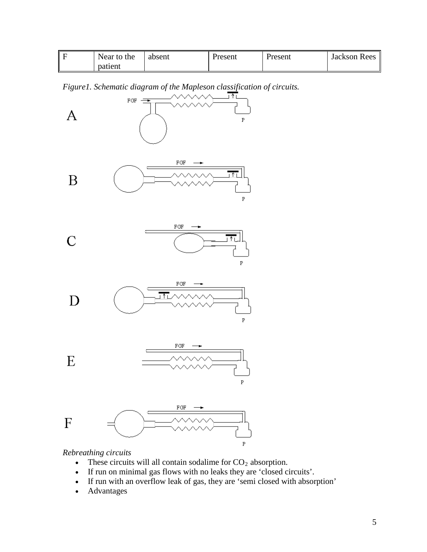| Near to the | absent | Present | Present | Jackson Rees |
|-------------|--------|---------|---------|--------------|
| patient     |        |         |         |              |

*Figure1. Schematic diagram of the Mapleson classification of circuits.*



## *Rebreathing circuits*

- These circuits will all contain sodalime for  $CO<sub>2</sub>$  absorption.
- If run on minimal gas flows with no leaks they are 'closed circuits'.
- If run with an overflow leak of gas, they are 'semi closed with absorption'
- Advantages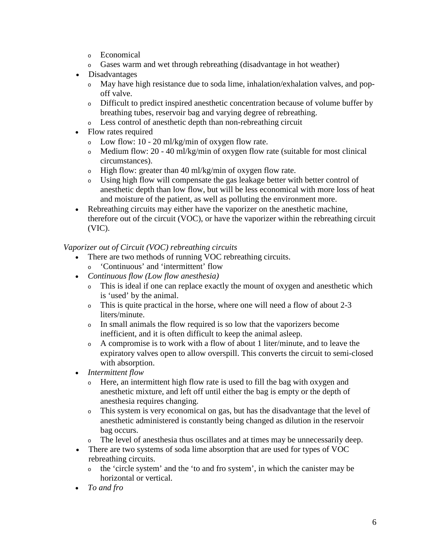- <sup>o</sup> Economical
- <sup>o</sup> Gases warm and wet through rebreathing (disadvantage in hot weather)
- Disadvantages
	- <sup>o</sup> May have high resistance due to soda lime, inhalation/exhalation valves, and popoff valve.
	- <sup>o</sup> Difficult to predict inspired anesthetic concentration because of volume buffer by breathing tubes, reservoir bag and varying degree of rebreathing.
	- <sup>o</sup> Less control of anesthetic depth than non-rebreathing circuit
- Flow rates required
	- $\circ$  Low flow: 10 20 ml/kg/min of oxygen flow rate.
	- $\delta$  Medium flow: 20 40 ml/kg/min of oxygen flow rate (suitable for most clinical circumstances).
	- $\circ$  High flow: greater than 40 ml/kg/min of oxygen flow rate.
	- <sup>o</sup> Using high flow will compensate the gas leakage better with better control of anesthetic depth than low flow, but will be less economical with more loss of heat and moisture of the patient, as well as polluting the environment more.
- Rebreathing circuits may either have the vaporizer on the anesthetic machine, therefore out of the circuit (VOC), or have the vaporizer within the rebreathing circuit (VIC).

### *Vaporizer out of Circuit (VOC) rebreathing circuits*

- There are two methods of running VOC rebreathing circuits.
	- <sup>o</sup> 'Continuous' and 'intermittent' flow
- *Continuous flow (Low flow anesthesia)*
	- <sup>o</sup> This is ideal if one can replace exactly the mount of oxygen and anesthetic which is 'used' by the animal.
	- <sup>o</sup> This is quite practical in the horse, where one will need a flow of about 2-3 liters/minute.
	- <sup>o</sup> In small animals the flow required is so low that the vaporizers become inefficient, and it is often difficult to keep the animal asleep.
	- <sup>o</sup> A compromise is to work with a flow of about 1 liter/minute, and to leave the expiratory valves open to allow overspill. This converts the circuit to semi-closed with absorption.
- *Intermittent flow* 
	- <sup>o</sup> Here, an intermittent high flow rate is used to fill the bag with oxygen and anesthetic mixture, and left off until either the bag is empty or the depth of anesthesia requires changing.
	- <sup>o</sup> This system is very economical on gas, but has the disadvantage that the level of anesthetic administered is constantly being changed as dilution in the reservoir bag occurs.
	- <sup>o</sup> The level of anesthesia thus oscillates and at times may be unnecessarily deep.
- There are two systems of soda lime absorption that are used for types of VOC rebreathing circuits.
	- <sup>o</sup> the 'circle system' and the 'to and fro system', in which the canister may be horizontal or vertical.
- *To and fro*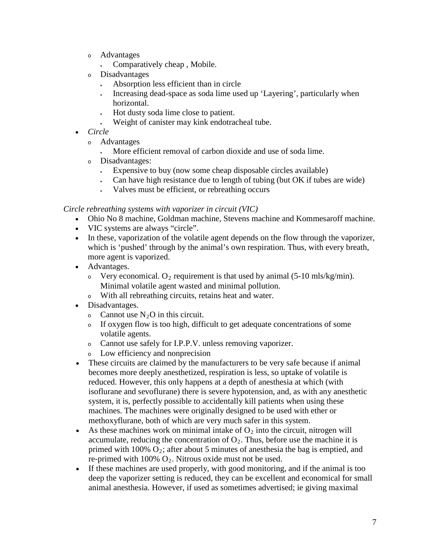- <sup>o</sup> Advantages
	- Comparatively cheap, Mobile.
- <sup>o</sup> Disadvantages
	- Absorption less efficient than in circle
	- Increasing dead-space as soda lime used up 'Layering', particularly when horizontal.
	- Hot dusty soda lime close to patient.
	- Weight of canister may kink endotracheal tube.
- *Circle*
	- <sup>o</sup> Advantages
		- More efficient removal of carbon dioxide and use of soda lime.
	- <sup>o</sup> Disadvantages:
		- $\cdot$  Expensive to buy (now some cheap disposable circles available)
		- Can have high resistance due to length of tubing (but OK if tubes are wide)
		- Valves must be efficient, or rebreathing occurs

### *Circle rebreathing systems with vaporizer in circuit (VIC)*

- Ohio No 8 machine, Goldman machine, Stevens machine and Kommesaroff machine.
- VIC systems are always "circle".
- In these, vaporization of the volatile agent depends on the flow through the vaporizer, which is 'pushed' through by the animal's own respiration. Thus, with every breath, more agent is vaporized.
- Advantages.
	- $\circ$  Very economical. O<sub>2</sub> requirement is that used by animal (5-10 mls/kg/min). Minimal volatile agent wasted and minimal pollution.
	- <sup>o</sup> With all rebreathing circuits, retains heat and water.
- Disadvantages.
	- Cannot use  $N_2O$  in this circuit.
	- <sup>o</sup> If oxygen flow is too high, difficult to get adequate concentrations of some volatile agents.
	- <sup>o</sup> Cannot use safely for I.P.P.V. unless removing vaporizer.
	- <sup>o</sup> Low efficiency and nonprecision
- These circuits are claimed by the manufacturers to be very safe because if animal becomes more deeply anesthetized, respiration is less, so uptake of volatile is reduced. However, this only happens at a depth of anesthesia at which (with isoflurane and sevoflurane) there is severe hypotension, and, as with any anesthetic system, it is, perfectly possible to accidentally kill patients when using these machines. The machines were originally designed to be used with ether or methoxyflurane, both of which are very much safer in this system.
- As these machines work on minimal intake of  $O_2$  into the circuit, nitrogen will accumulate, reducing the concentration of  $O_2$ . Thus, before use the machine it is primed with 100%  $O_2$ ; after about 5 minutes of anesthesia the bag is emptied, and re-primed with  $100\%$  O<sub>2</sub>. Nitrous oxide must not be used.
- If these machines are used properly, with good monitoring, and if the animal is too deep the vaporizer setting is reduced, they can be excellent and economical for small animal anesthesia. However, if used as sometimes advertised; ie giving maximal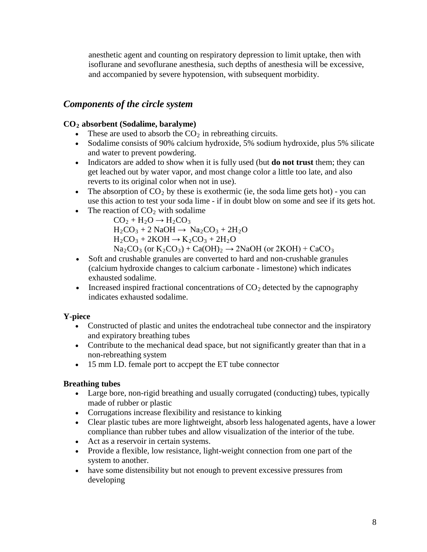anesthetic agent and counting on respiratory depression to limit uptake, then with isoflurane and sevoflurane anesthesia, such depths of anesthesia will be excessive, and accompanied by severe hypotension, with subsequent morbidity.

# *Components of the circle system*

### **CO2 absorbent (Sodalime, baralyme)**

- These are used to absorb the  $CO<sub>2</sub>$  in rebreathing circuits.
- Sodalime consists of 90% calcium hydroxide, 5% sodium hydroxide, plus 5% silicate and water to prevent powdering.
- Indicators are added to show when it is fully used (but **do not trust** them; they can get leached out by water vapor, and most change color a little too late, and also reverts to its original color when not in use).
- The absorption of  $CO_2$  by these is exothermic (ie, the soda lime gets hot) you can use this action to test your soda lime - if in doubt blow on some and see if its gets hot.
- The reaction of  $CO<sub>2</sub>$  with sodalime

 $CO<sub>2</sub> + H<sub>2</sub>O \rightarrow H<sub>2</sub>CO<sub>3</sub>$  $H_2CO_3 + 2$  NaOH  $\rightarrow$  Na<sub>2</sub>CO<sub>3</sub> + 2H<sub>2</sub>O  $H_2CO_3 + 2KOH \rightarrow K_2CO_3 + 2H_2O$  $\text{Na}_2\text{CO}_3$  (or  $\text{K}_2\text{CO}_3$ ) + Ca(OH)<sub>2</sub>  $\rightarrow$  2NaOH (or 2KOH) + CaCO<sub>3</sub>

- Soft and crushable granules are converted to hard and non-crushable granules (calcium hydroxide changes to calcium carbonate - limestone) which indicates exhausted sodalime.
- Increased inspired fractional concentrations of  $CO<sub>2</sub>$  detected by the capnography indicates exhausted sodalime.

### **Y-piece**

- Constructed of plastic and unites the endotracheal tube connector and the inspiratory and expiratory breathing tubes
- Contribute to the mechanical dead space, but not significantly greater than that in a non-rebreathing system
- 15 mm I.D. female port to accpept the ET tube connector

### **Breathing tubes**

- Large bore, non-rigid breathing and usually corrugated (conducting) tubes, typically made of rubber or plastic
- Corrugations increase flexibility and resistance to kinking
- Clear plastic tubes are more lightweight, absorb less halogenated agents, have a lower compliance than rubber tubes and allow visualization of the interior of the tube.
- Act as a reservoir in certain systems.
- Provide a flexible, low resistance, light-weight connection from one part of the system to another.
- have some distensibility but not enough to prevent excessive pressures from developing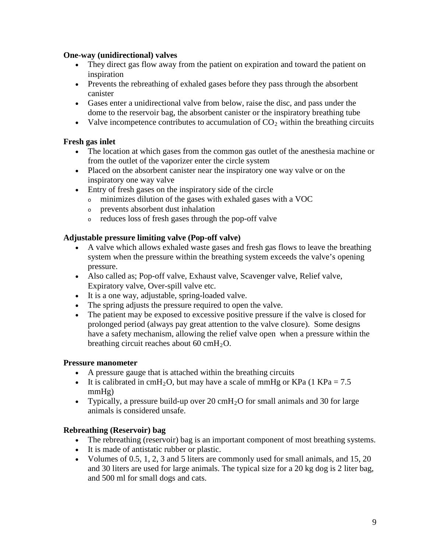#### **One-way (unidirectional) valves**

- They direct gas flow away from the patient on expiration and toward the patient on inspiration
- Prevents the rebreathing of exhaled gases before they pass through the absorbent canister
- Gases enter a unidirectional valve from below, raise the disc, and pass under the dome to the reservoir bag, the absorbent canister or the inspiratory breathing tube
- Valve incompetence contributes to accumulation of  $CO<sub>2</sub>$  within the breathing circuits

#### **Fresh gas inlet**

- The location at which gases from the common gas outlet of the anesthesia machine or from the outlet of the vaporizer enter the circle system
- Placed on the absorbent canister near the inspiratory one way valve or on the inspiratory one way valve
- Entry of fresh gases on the inspiratory side of the circle
	- <sup>o</sup> minimizes dilution of the gases with exhaled gases with a VOC
	- <sup>o</sup> prevents absorbent dust inhalation
	- <sup>o</sup> reduces loss of fresh gases through the pop-off valve

#### **Adjustable pressure limiting valve (Pop-off valve)**

- A valve which allows exhaled waste gases and fresh gas flows to leave the breathing system when the pressure within the breathing system exceeds the valve's opening pressure.
- Also called as; Pop-off valve, Exhaust valve, Scavenger valve, Relief valve, Expiratory valve, Over-spill valve etc.
- It is a one way, adjustable, spring-loaded valve.
- The spring adjusts the pressure required to open the valve.
- The patient may be exposed to excessive positive pressure if the valve is closed for prolonged period (always pay great attention to the valve closure). Some designs have a safety mechanism, allowing the relief valve open when a pressure within the breathing circuit reaches about 60 cm $H_2O$ .

#### **Pressure manometer**

- A pressure gauge that is attached within the breathing circuits
- It is calibrated in cmH<sub>2</sub>O, but may have a scale of mmHg or KPa (1 KPa = 7.5 mmHg)
- Typically, a pressure build-up over 20  $\text{cm}H_2\text{O}$  for small animals and 30 for large animals is considered unsafe.

### **Rebreathing (Reservoir) bag**

- The rebreathing (reservoir) bag is an important component of most breathing systems.
- It is made of antistatic rubber or plastic.
- Volumes of 0.5, 1, 2, 3 and 5 liters are commonly used for small animals, and 15, 20 and 30 liters are used for large animals. The typical size for a 20 kg dog is 2 liter bag, and 500 ml for small dogs and cats.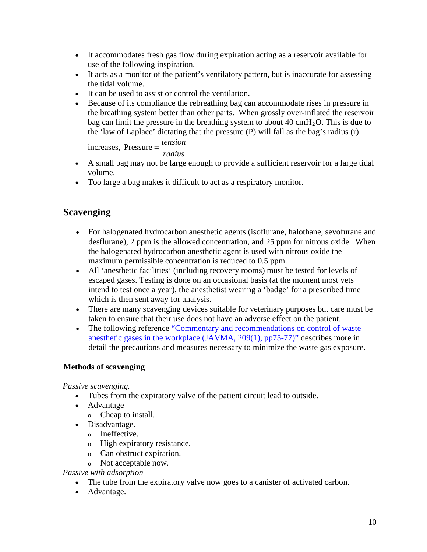- It accommodates fresh gas flow during expiration acting as a reservoir available for use of the following inspiration.
- It acts as a monitor of the patient's ventilatory pattern, but is inaccurate for assessing the tidal volume.
- It can be used to assist or control the ventilation.
- Because of its compliance the rebreathing bag can accommodate rises in pressure in the breathing system better than other parts. When grossly over-inflated the reservoir bag can limit the pressure in the breathing system to about  $40 \text{ cm}H_2O$ . This is due to the 'law of Laplace' dictating that the pressure (P) will fall as the bag's radius (r)

 $increases,$  Pressure  $=\frac{tension}{l}$ 

- *radius*
- A small bag may not be large enough to provide a sufficient reservoir for a large tidal volume.
- Too large a bag makes it difficult to act as a respiratory monitor.

# **Scavenging**

- For halogenated hydrocarbon anesthetic agents (isoflurane, halothane, sevofurane and desflurane), 2 ppm is the allowed concentration, and 25 ppm for nitrous oxide. When the halogenated hydrocarbon anesthetic agent is used with nitrous oxide the maximum permissible concentration is reduced to 0.5 ppm.
- All 'anesthetic facilities' (including recovery rooms) must be tested for levels of escaped gases. Testing is done on an occasional basis (at the moment most vets intend to test once a year), the anesthetist wearing a 'badge' for a prescribed time which is then sent away for analysis.
- There are many scavenging devices suitable for veterinary purposes but care must be taken to ensure that their use does not have an adverse effect on the patient.
- The following reference "Commentary and recommendations on control of waste anesthetic gases in the [workplace \(JAVMA, 209\(1\), pp75-77\)"](http://www.acva.org/professional/Position/waste.htm) describes more in detail the precautions and measures necessary to minimize the waste gas exposure.

### **Methods of scavenging**

*Passive scavenging.* 

- Tubes from the expiratory valve of the patient circuit lead to outside.
- Advantage
	- <sup>o</sup> Cheap to install.
- Disadvantage.
	- <sup>o</sup> Ineffective.
	- <sup>o</sup> High expiratory resistance.
	- <sup>o</sup> Can obstruct expiration.
	- <sup>o</sup> Not acceptable now.

*Passive with adsorption*

- The tube from the expiratory valve now goes to a canister of activated carbon.
- Advantage.